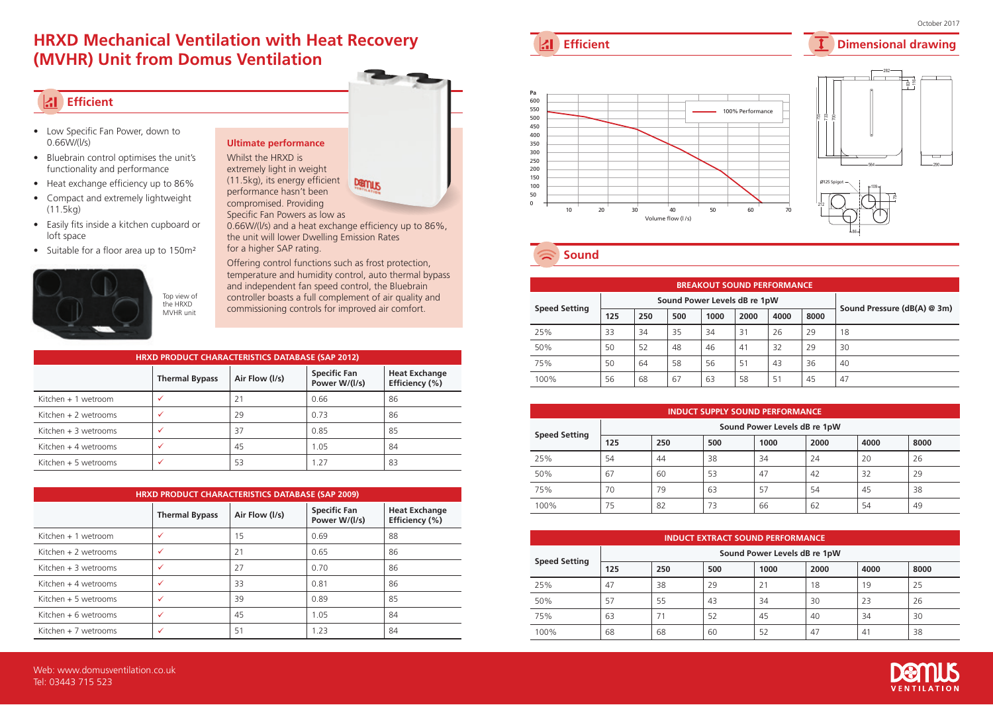## **HRXD Mechanical Ventilation with Heat Recovery (MVHR) Unit from Domus Ventilation**

## **Efficient**

- Low Specific Fan Power, down to 0.66W/(l/s)
- Bluebrain control optimises the unit's functionality and performance
- Heat exchange efficiency up to 86%
- Compact and extremely lightweight (11.5kg)
- Easily fits inside a kitchen cupboard or loft space
- Suitable for a floor area up to 150m<sup>2</sup>



Demus performance hasn't been compromised. Providing Specific Fan Powers as low as

**Ultimate performance** Whilst the HRXD is extremely light in weight (11.5kg), its energy efficient

0.66W/(l/s) and a heat exchange efficiency up to 86%, the unit will lower Dwelling Emission Rates for a higher SAP rating.

Offering control functions such as frost protection, temperature and humidity control, auto thermal bypass and independent fan speed control, the Bluebrain controller boasts a full complement of air quality and commissioning controls for improved air comfort.

| HRXD PRODUCT CHARACTERISTICS DATABASE (SAP 2012) |                       |                |                                      |                                        |  |  |  |
|--------------------------------------------------|-----------------------|----------------|--------------------------------------|----------------------------------------|--|--|--|
|                                                  | <b>Thermal Bypass</b> | Air Flow (I/s) | <b>Specific Fan</b><br>Power W/(I/s) | <b>Heat Exchange</b><br>Efficiency (%) |  |  |  |
| Kitchen $+1$ wetroom                             | $\checkmark$          | 21             | 0.66                                 | 86                                     |  |  |  |
| Kitchen $+2$ wetrooms                            | ✓                     | 29             | 0.73                                 | 86                                     |  |  |  |
| Kitchen + 3 wetrooms                             | ✓                     | 37             | 0.85                                 | 85                                     |  |  |  |
| Kitchen $+$ 4 wetrooms                           | $\checkmark$          | 45             | 1.05                                 | 84                                     |  |  |  |
| Kitchen + 5 wetrooms                             | $\checkmark$          | 53             | 1.27                                 | 83                                     |  |  |  |

| HRXD PRODUCT CHARACTERISTICS DATABASE (SAP 2009) |                                         |    |                                      |                                        |  |  |  |  |
|--------------------------------------------------|-----------------------------------------|----|--------------------------------------|----------------------------------------|--|--|--|--|
|                                                  | Air Flow (I/s)<br><b>Thermal Bypass</b> |    | <b>Specific Fan</b><br>Power W/(I/s) | <b>Heat Exchange</b><br>Efficiency (%) |  |  |  |  |
| Kitchen + 1 wetroom                              | $\checkmark$                            | 15 | 0.69                                 | 88                                     |  |  |  |  |
| Kitchen $+2$ wetrooms                            | $\checkmark$                            | 21 | 0.65                                 | 86                                     |  |  |  |  |
| Kitchen $+3$ wetrooms                            | ✓                                       | 27 | 0.70                                 | 86                                     |  |  |  |  |
| Kitchen $+4$ wetrooms                            | ✓                                       | 33 | 0.81                                 | 86                                     |  |  |  |  |
| Kitchen $+5$ wetrooms                            | $\checkmark$                            | 39 | 0.89                                 | 85                                     |  |  |  |  |
| Kitchen $+6$ wetrooms                            | ✓                                       | 45 | 1.05                                 | 84                                     |  |  |  |  |
| Kitchen $+7$ wetrooms                            | ✓                                       | 51 | 1.23                                 | 84                                     |  |  |  |  |



**Sound** 

| <b>BREAKOUT SOUND PERFORMANCE</b> |                              |     |     |      |      |      |      |                             |  |  |
|-----------------------------------|------------------------------|-----|-----|------|------|------|------|-----------------------------|--|--|
|                                   | Sound Power Levels dB re 1pW |     |     |      |      |      |      |                             |  |  |
| <b>Speed Setting</b>              | 125                          | 250 | 500 | 1000 | 2000 | 4000 | 8000 | Sound Pressure (dB(A) @ 3m) |  |  |
| 25%                               | 33                           | 34  | 35  | 34   | 31   | 26   | 29   | 18                          |  |  |
| 50%                               | 50                           | 52  | 48  | 46   | 41   | 32   | 29   | 30                          |  |  |
| 75%                               | 50                           | 64  | 58  | 56   | 51   | 43   | 36   | 40                          |  |  |
| 100%                              | 56                           | 68  | 67  | 63   | 58   | 51   | 45   | 47                          |  |  |

| <b>INDUCT SUPPLY SOUND PERFORMANCE</b> |                              |     |     |      |      |      |      |  |  |
|----------------------------------------|------------------------------|-----|-----|------|------|------|------|--|--|
|                                        | Sound Power Levels dB re 1pW |     |     |      |      |      |      |  |  |
| <b>Speed Setting</b>                   | 125                          | 250 | 500 | 1000 | 2000 | 4000 | 8000 |  |  |
| 25%                                    | 54                           | 44  | 38  | 34   | 24   | 20   | 26   |  |  |
| 50%                                    | 67                           | 60  | 53  | 47   | 42   | 32   | 29   |  |  |
| 75%                                    | 70                           | 79  | 63  | 57   | 54   | 45   | 38   |  |  |
| 100%                                   | 75                           | 82  | 73  | 66   | 62   | 54   | 49   |  |  |

| <b>INDUCT EXTRACT SOUND PERFORMANCE</b> |                              |     |     |      |      |      |      |  |
|-----------------------------------------|------------------------------|-----|-----|------|------|------|------|--|
|                                         | Sound Power Levels dB re 1pW |     |     |      |      |      |      |  |
| <b>Speed Setting</b>                    | 125                          | 250 | 500 | 1000 | 2000 | 4000 | 8000 |  |
| 25%                                     | 47                           | 38  | 29  | 21   | 18   | 19   | 25   |  |
| 50%                                     | 57                           | 55  | 43  | 34   | 30   | 23   | 26   |  |
| 75%                                     | 63                           | 71  | 52  | 45   | 40   | 34   | 30   |  |
| 100%                                    | 68                           | 68  | 60  | 52   | 47   | 41   | 38   |  |



290

**Dimensional drawing**

## **Efficient**